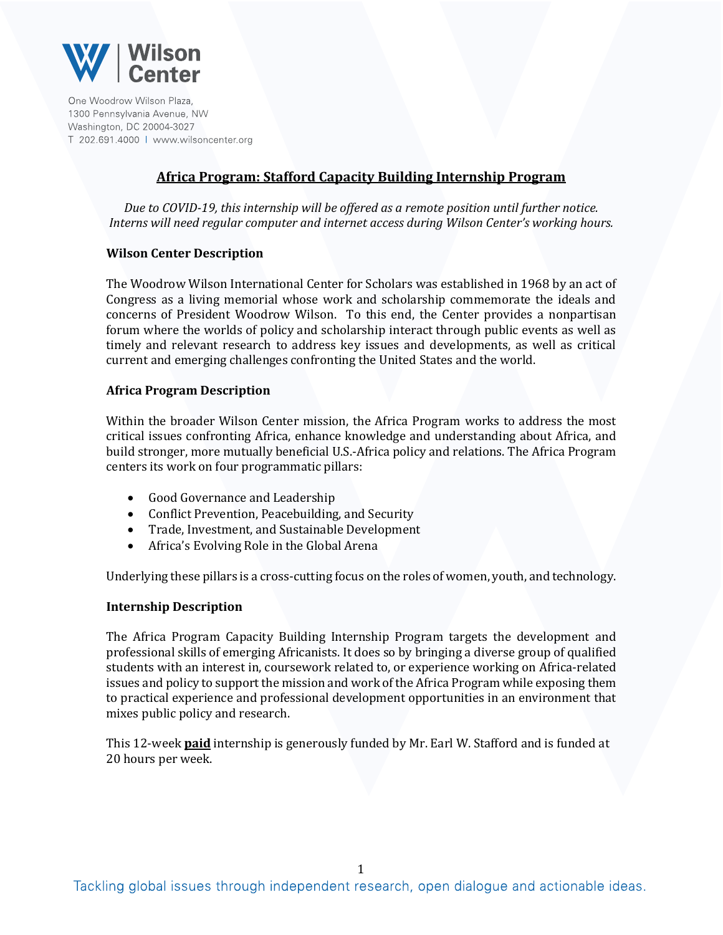

One Woodrow Wilson Plaza. 1300 Pennsylvania Avenue, NW Washington, DC 20004-3027 T 202.691.4000 | www.wilsoncenter.org

# **Africa Program: Stafford Capacity Building Internship Program**

*Due to COVID-19, this internship will be offered as a remote position until further notice. Interns will need regular computer and internet access during Wilson Center's working hours.*

## **Wilson Center Description**

The Woodrow Wilson International Center for Scholars was established in 1968 by an act of Congress as a living memorial whose work and scholarship commemorate the ideals and concerns of President Woodrow Wilson. To this end, the Center provides a nonpartisan forum where the worlds of policy and scholarship interact through public events as well as timely and relevant research to address key issues and developments, as well as critical current and emerging challenges confronting the United States and the world.

## **Africa Program Description**

Within the broader Wilson Center mission, the Africa Program works to address the most critical issues confronting Africa, enhance knowledge and understanding about Africa, and build stronger, more mutually beneficial U.S.-Africa policy and relations. The Africa Program centers its work on four programmatic pillars:

- Good Governance and Leadership
- Conflict Prevention, Peacebuilding, and Security
- Trade, Investment, and Sustainable Development
- Africa's Evolving Role in the Global Arena

Underlying these pillars is a cross-cutting focus on the roles of women, youth, and technology.

#### **Internship Description**

The Africa Program Capacity Building Internship Program targets the development and professional skills of emerging Africanists. It does so by bringing a diverse group of qualified students with an interest in, coursework related to, or experience working on Africa-related issues and policy to support the mission and work of the Africa Program while exposing them to practical experience and professional development opportunities in an environment that mixes public policy and research.

This 12-week **paid** internship is generously funded by Mr. Earl W. Stafford and is funded at 20 hours per week.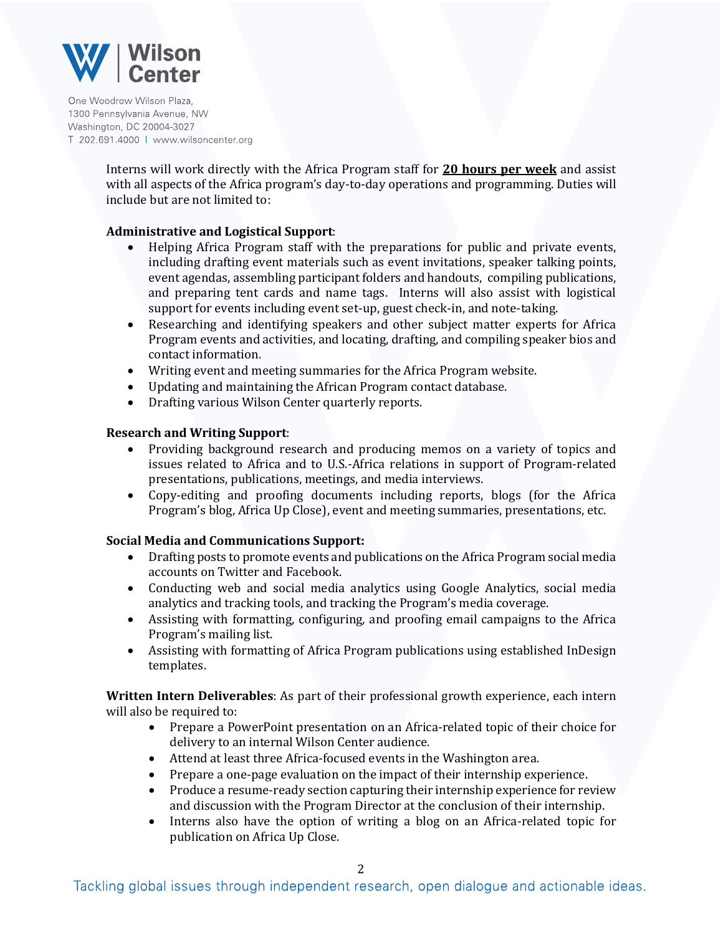

One Woodrow Wilson Plaza. 1300 Pennsylvania Avenue, NW Washington, DC 20004-3027 T 202.691.4000 | www.wilsoncenter.org

> Interns will work directly with the Africa Program staff for **20 hours per week** and assist with all aspects of the Africa program's day-to-day operations and programming. Duties will include but are not limited to:

## **Administrative and Logistical Support**:

- Helping Africa Program staff with the preparations for public and private events, including drafting event materials such as event invitations, speaker talking points, event agendas, assembling participant folders and handouts, compiling publications, and preparing tent cards and name tags. Interns will also assist with logistical support for events including event set-up, guest check-in, and note-taking.
- Researching and identifying speakers and other subject matter experts for Africa Program events and activities, and locating, drafting, and compiling speaker bios and contact information.
- Writing event and meeting summaries for the Africa Program website.
- Updating and maintaining the African Program contact database.
- Drafting various Wilson Center quarterly reports.

#### **Research and Writing Support**:

- Providing background research and producing memos on a variety of topics and issues related to Africa and to U.S.-Africa relations in support of Program-related presentations, publications, meetings, and media interviews.
- Copy-editing and proofing documents including reports, blogs (for the Africa Program's blog, Africa Up Close), event and meeting summaries, presentations, etc.

#### **Social Media and Communications Support:**

- Drafting posts to promote events and publications on the Africa Program social media accounts on Twitter and Facebook.
- Conducting web and social media analytics using Google Analytics, social media analytics and tracking tools, and tracking the Program's media coverage.
- Assisting with formatting, configuring, and proofing email campaigns to the Africa Program's mailing list.
- Assisting with formatting of Africa Program publications using established InDesign templates.

**Written Intern Deliverables**: As part of their professional growth experience, each intern will also be required to:

- Prepare a PowerPoint presentation on an Africa-related topic of their choice for delivery to an internal Wilson Center audience.
- Attend at least three Africa-focused events in the Washington area.
- Prepare a one-page evaluation on the impact of their internship experience.
- Produce a resume-ready section capturing their internship experience for review and discussion with the Program Director at the conclusion of their internship.
- Interns also have the option of writing a blog on an Africa-related topic for publication on Africa Up Close.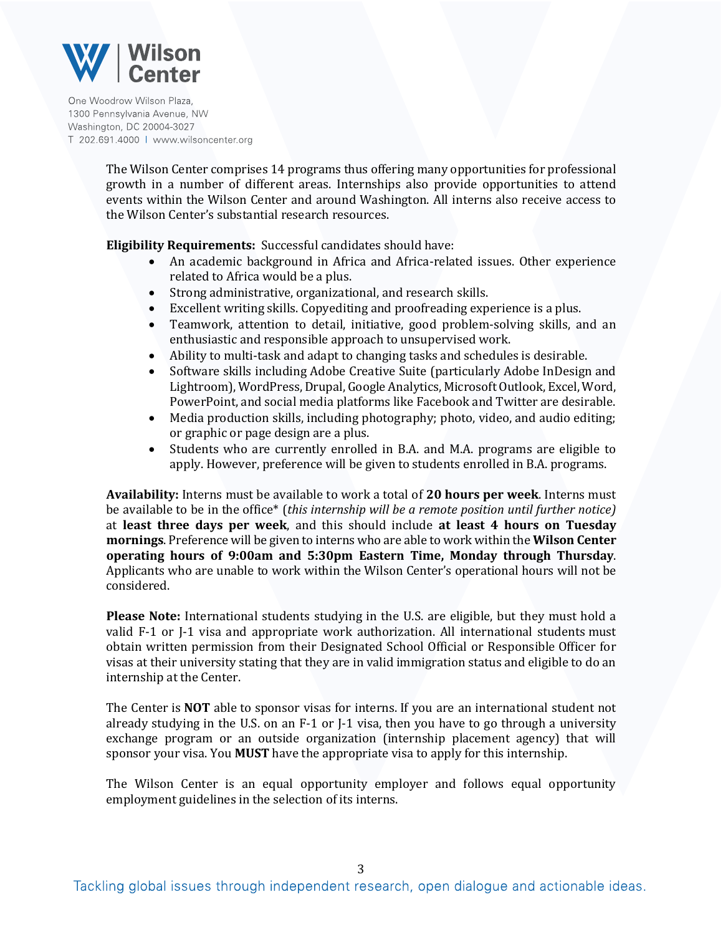

One Woodrow Wilson Plaza. 1300 Pennsylvania Avenue, NW Washington, DC 20004-3027 T 202.691.4000 | www.wilsoncenter.org

> The Wilson Center comprises 14 programs thus offering many opportunities for professional growth in a number of different areas. Internships also provide opportunities to attend events within the Wilson Center and around Washington. All interns also receive access to the Wilson Center's substantial research resources.

**Eligibility Requirements:** Successful candidates should have:

- An academic background in Africa and Africa-related issues. Other experience related to Africa would be a plus.
- Strong administrative, organizational, and research skills.
- Excellent writing skills. Copyediting and proofreading experience is a plus.
- Teamwork, attention to detail, initiative, good problem-solving skills, and an enthusiastic and responsible approach to unsupervised work.
- Ability to multi-task and adapt to changing tasks and schedules is desirable.
- Software skills including Adobe Creative Suite (particularly Adobe InDesign and Lightroom), WordPress, Drupal, Google Analytics, Microsoft Outlook, Excel, Word, PowerPoint, and social media platforms like Facebook and Twitter are desirable.
- Media production skills, including photography; photo, video, and audio editing; or graphic or page design are a plus.
- Students who are currently enrolled in B.A. and M.A. programs are eligible to apply. However, preference will be given to students enrolled in B.A. programs.

**Availability:** Interns must be available to work a total of **20 hours per week**. Interns must be available to be in the office\* (*this internship will be a remote position until further notice)*  at **least three days per week**, and this should include **at least 4 hours on Tuesday mornings**. Preference will be given to interns who are able to work within the **Wilson Center operating hours of 9:00am and 5:30pm Eastern Time, Monday through Thursday**. Applicants who are unable to work within the Wilson Center's operational hours will not be considered.

**Please Note:** International students studying in the U.S. are eligible, but they must hold a valid F-1 or J-1 visa and appropriate work authorization. All international students must obtain written permission from their Designated School Official or Responsible Officer for visas at their university stating that they are in valid immigration status and eligible to do an internship at the Center.

The Center is **NOT** able to sponsor visas for interns. If you are an international student not already studying in the U.S. on an F-1 or J-1 visa, then you have to go through a university exchange program or an outside organization (internship placement agency) that will sponsor your visa. You **MUST** have the appropriate visa to apply for this internship.

The Wilson Center is an equal opportunity employer and follows equal opportunity employment guidelines in the selection of its interns.